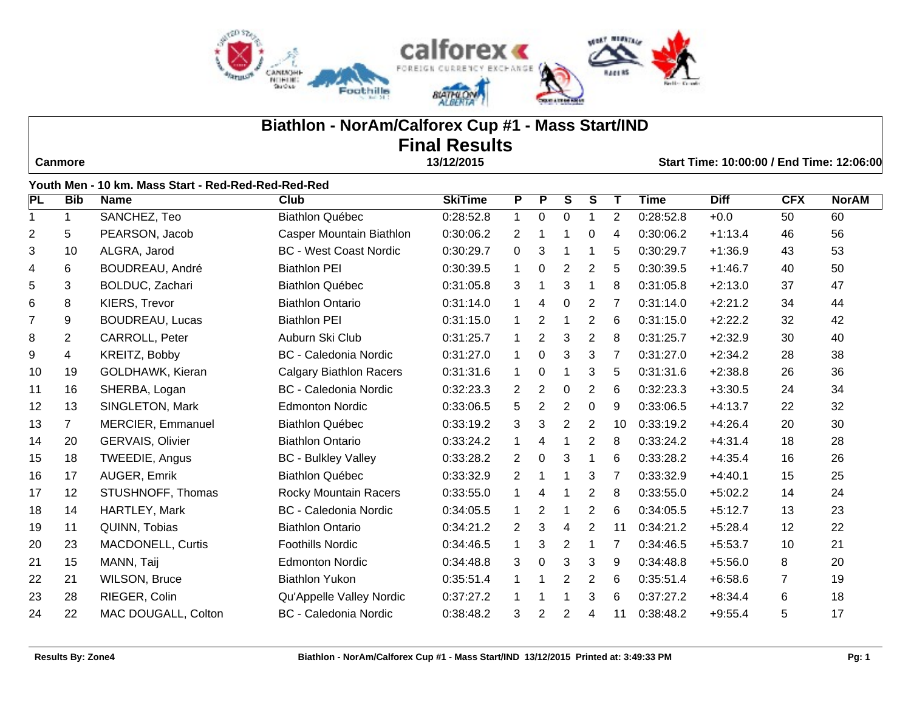

# **Biathlon - NorAm/Calforex Cup #1 - Mass Start/IND Final Results**

 **Canmore 13/12/2015 Start Time: 10:00:00 / End Time: 12:06:00**

**Youth Men - 10 km. Mass Start - Red-Red-Red-Red-Red**

| PL             | <b>Bib</b>     | <b>Name</b>              | <b>Club</b>                    | <b>SkiTime</b> | P              | P              | $\overline{\mathbf{s}}$ | S              | T              | <b>Time</b> | <b>Diff</b> | <b>CFX</b>     | <b>NorAM</b> |
|----------------|----------------|--------------------------|--------------------------------|----------------|----------------|----------------|-------------------------|----------------|----------------|-------------|-------------|----------------|--------------|
| 1              | $\mathbf 1$    | SANCHEZ, Teo             | <b>Biathlon Québec</b>         | 0:28:52.8      | $\mathbf{1}$   | $\mathbf 0$    | 0                       |                | $\overline{c}$ | 0:28:52.8   | $+0.0$      | 50             | 60           |
| 2              | 5              | PEARSON, Jacob           | Casper Mountain Biathlon       | 0:30:06.2      | $\overline{2}$ | 1              |                         | 0              | 4              | 0:30:06.2   | $+1:13.4$   | 46             | 56           |
| 3              | 10             | ALGRA, Jarod             | <b>BC</b> - West Coast Nordic  | 0:30:29.7      | 0              | 3              |                         |                | 5              | 0:30:29.7   | $+1:36.9$   | 43             | 53           |
| 4              | 6              | <b>BOUDREAU, André</b>   | <b>Biathlon PEI</b>            | 0:30:39.5      | $\mathbf{1}$   | $\Omega$       | 2                       | 2              | 5              | 0:30:39.5   | $+1:46.7$   | 40             | 50           |
| 5              | 3              | <b>BOLDUC, Zachari</b>   | <b>Biathlon Québec</b>         | 0:31:05.8      | 3              | 1              | 3                       |                | 8              | 0:31:05.8   | $+2:13.0$   | 37             | 47           |
| 6              | 8              | <b>KIERS, Trevor</b>     | <b>Biathlon Ontario</b>        | 0:31:14.0      | $\mathbf{1}$   | 4              | $\mathbf{0}$            | 2              | 7              | 0:31:14.0   | $+2:21.2$   | 34             | 44           |
| $\overline{7}$ | 9              | <b>BOUDREAU, Lucas</b>   | <b>Biathlon PEI</b>            | 0:31:15.0      | $\mathbf 1$    | $\overline{2}$ |                         | 2              | 6              | 0:31:15.0   | $+2:22.2$   | 32             | 42           |
| 8              | $\overline{2}$ | CARROLL, Peter           | Auburn Ski Club                | 0:31:25.7      | 1              | $\overline{2}$ | 3                       | $\overline{2}$ | 8              | 0:31:25.7   | $+2:32.9$   | 30             | 40           |
| 9              | $\overline{4}$ | KREITZ, Bobby            | <b>BC</b> - Caledonia Nordic   | 0:31:27.0      | $\mathbf{1}$   | 0              | 3                       | 3              | 7              | 0:31:27.0   | $+2:34.2$   | 28             | 38           |
| 10             | 19             | GOLDHAWK, Kieran         | <b>Calgary Biathlon Racers</b> | 0:31:31.6      | $\mathbf 1$    | 0              |                         | 3              | 5              | 0:31:31.6   | $+2:38.8$   | 26             | 36           |
| 11             | 16             | SHERBA, Logan            | <b>BC</b> - Caledonia Nordic   | 0:32:23.3      | $\overline{2}$ | $\overline{2}$ | 0                       | $\overline{2}$ | 6              | 0:32:23.3   | $+3:30.5$   | 24             | 34           |
| 12             | 13             | SINGLETON, Mark          | <b>Edmonton Nordic</b>         | 0:33:06.5      | 5              | $\overline{2}$ | $\overline{2}$          | 0              | 9              | 0:33:06.5   | $+4:13.7$   | 22             | 32           |
| 13             | $\overline{7}$ | <b>MERCIER, Emmanuel</b> | <b>Biathlon Québec</b>         | 0:33:19.2      | 3              | 3              | $\overline{2}$          | $\overline{2}$ | 10             | 0:33:19.2   | $+4:26.4$   | 20             | 30           |
| 14             | 20             | <b>GERVAIS, Olivier</b>  | <b>Biathlon Ontario</b>        | 0:33:24.2      | $\mathbf{1}$   | 4              |                         | $\overline{2}$ | 8              | 0:33:24.2   | $+4:31.4$   | 18             | 28           |
| 15             | 18             | TWEEDIE, Angus           | <b>BC - Bulkley Valley</b>     | 0:33:28.2      | $\overline{2}$ | $\mathbf 0$    | 3                       |                | 6              | 0:33:28.2   | $+4:35.4$   | 16             | 26           |
| 16             | 17             | AUGER, Emrik             | <b>Biathlon Québec</b>         | 0:33:32.9      | $\overline{2}$ | 1              |                         | 3              |                | 0:33:32.9   | $+4:40.1$   | 15             | 25           |
| 17             | 12             | STUSHNOFF, Thomas        | Rocky Mountain Racers          | 0:33:55.0      | $\mathbf{1}$   | 4              |                         | $\overline{2}$ | 8              | 0:33:55.0   | $+5:02.2$   | 14             | 24           |
| 18             | 14             | HARTLEY, Mark            | <b>BC</b> - Caledonia Nordic   | 0:34:05.5      | $\mathbf{1}$   | 2              |                         | $\overline{2}$ | 6              | 0:34:05.5   | $+5:12.7$   | 13             | 23           |
| 19             | 11             | QUINN, Tobias            | <b>Biathlon Ontario</b>        | 0:34:21.2      | $\overline{2}$ | 3              | 4                       | $\overline{2}$ | 11             | 0:34:21.2   | $+5:28.4$   | 12             | 22           |
| 20             | 23             | <b>MACDONELL, Curtis</b> | <b>Foothills Nordic</b>        | 0:34:46.5      | $\mathbf{1}$   | 3              | $\overline{2}$          |                |                | 0:34:46.5   | $+5:53.7$   | 10             | 21           |
| 21             | 15             | MANN, Taij               | <b>Edmonton Nordic</b>         | 0:34:48.8      | 3              | $\mathbf 0$    | 3                       | 3              | 9              | 0:34:48.8   | $+5:56.0$   | 8              | 20           |
| 22             | 21             | <b>WILSON, Bruce</b>     | <b>Biathlon Yukon</b>          | 0:35:51.4      | $\mathbf{1}$   | 1              | 2                       | $\overline{2}$ | 6              | 0:35:51.4   | $+6:58.6$   | $\overline{7}$ | 19           |
| 23             | 28             | RIEGER, Colin            | Qu'Appelle Valley Nordic       | 0:37:27.2      | $\mathbf 1$    | 1              |                         | 3              | 6              | 0:37:27.2   | $+8:34.4$   | 6              | 18           |
| 24             | 22             | MAC DOUGALL, Colton      | <b>BC</b> - Caledonia Nordic   | 0:38:48.2      | 3              | 2              | 2                       | 4              | 11             | 0:38:48.2   | $+9:55.4$   | 5              | 17           |
|                |                |                          |                                |                |                |                |                         |                |                |             |             |                |              |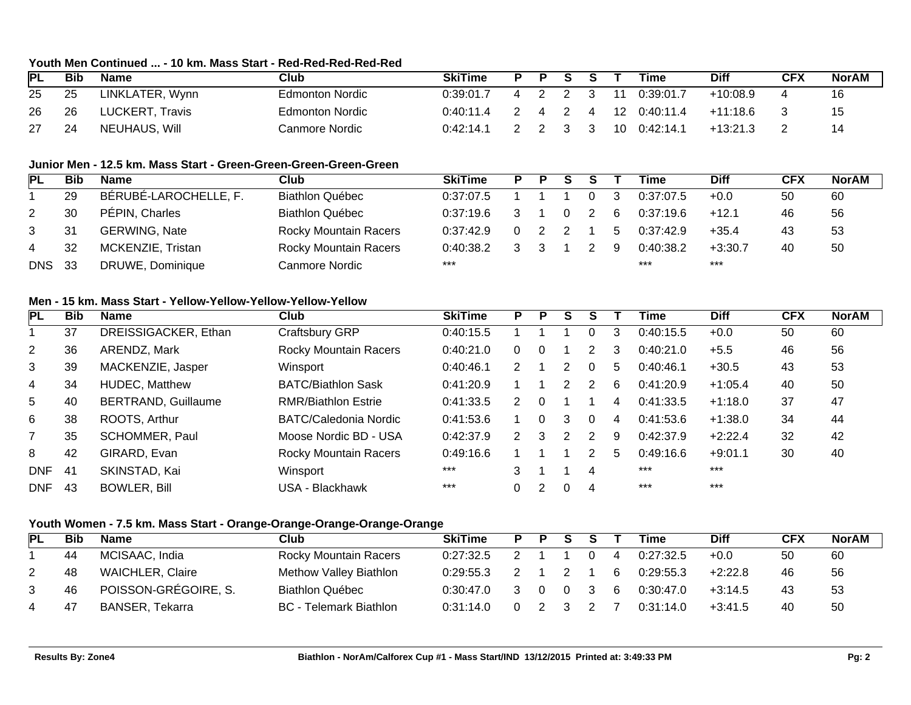### **Youth Men Continued ... - 10 km. Mass Start - Red-Red-Red-Red-Red**

| <b>IPL</b> | Bib | <b>Name</b>     | <b>Club</b>            | <b>SkiTime</b> | . . | - 0 | S. |                |     | Time      | <b>Diff</b> | <b>CFX</b> | <b>NorAM</b> |
|------------|-----|-----------------|------------------------|----------------|-----|-----|----|----------------|-----|-----------|-------------|------------|--------------|
| 25         | 25  | LINKLATER, Wynn | <b>Edmonton Nordic</b> | 0:39:01.7      | 4   |     |    |                |     | 0:39:01.7 | $+10:08.9$  |            |              |
| 26         | 26  | LUCKERT, Travis | <b>Edmonton Nordic</b> | 0:40:11.4      |     |     |    | $\overline{a}$ | -12 | 0:40:11.4 | $+11:18.6$  |            |              |
| 27         | 24  | NEUHAUS, Will   | Canmore Nordic         | 0.42:14.1      |     |     |    |                | -10 | 0:42:14.1 | $+13:21.3$  |            |              |

#### **Junior Men - 12.5 km. Mass Start - Green-Green-Green-Green-Green**

| PL                   | Bib | <b>Name</b>           | Club                         | <b>SkiTime</b> | P. | P.                                          | S. |          |     | Time      | <b>Diff</b> | <b>CFX</b> | <b>NorAM</b> |
|----------------------|-----|-----------------------|------------------------------|----------------|----|---------------------------------------------|----|----------|-----|-----------|-------------|------------|--------------|
|                      | 29  | BÉRUBÉ-LAROCHELLE, F. | <b>Biathlon Québec</b>       | 0:37:07.5      |    |                                             |    | $\Omega$ | -3  | 0:37:07.5 | $+0.0$      | 50         | 60           |
| $\mathbf{2}^{\circ}$ | 30  | PÉPIN, Charles        | <b>Biathlon Québec</b>       | 0:37:19.6      |    |                                             |    |          | - 6 | 0:37:19.6 | $+12.1$     | 46         | 56           |
| 3                    | 31  | <b>GERWING, Nate</b>  | <b>Rocky Mountain Racers</b> | 0:37:42.9      |    | $\begin{array}{cccc} 0 & 2 & 2 \end{array}$ |    |          | 5   | 0:37:42.9 | $+35.4$     | 43         | 53           |
| 4                    | 32  | MCKENZIE, Tristan     | <b>Rocky Mountain Racers</b> | 0:40:38.2      |    | 3 3 1                                       |    | -2       | - 9 | 0:40:38.2 | $+3:30.7$   | 40         | -50          |
| <b>DNS</b> 33        |     | DRUWE, Dominique      | Canmore Nordic               | $***$          |    |                                             |    |          |     | $***$     | ***         |            |              |

#### **Men - 15 km. Mass Start - Yellow-Yellow-Yellow-Yellow-Yellow**

| PL             | <b>Bib</b> | Name                       | Club                         | <b>SkiTime</b> | P        | P | S             |          |   | Time      | <b>Diff</b> | <b>CFX</b> | <b>NorAM</b> |
|----------------|------------|----------------------------|------------------------------|----------------|----------|---|---------------|----------|---|-----------|-------------|------------|--------------|
|                | 37         | DREISSIGACKER, Ethan       | Craftsbury GRP               | 0.40:15.5      |          |   |               |          | 3 | 0:40:15.5 | $+0.0$      | 50         | 60           |
| 2              | 36         | ARENDZ, Mark               | <b>Rocky Mountain Racers</b> | 0:40:21.0      | $\Omega$ | 0 |               | 2        | 3 | 0:40:21.0 | $+5.5$      | 46         | 56           |
| 3              | 39         | MACKENZIE, Jasper          | Winsport                     | 0:40:46.1      | 2        |   | 2             | $\Omega$ | 5 | 0:40:46.1 | $+30.5$     | 43         | 53           |
| 4              | 34         | <b>HUDEC, Matthew</b>      | <b>BATC/Biathlon Sask</b>    | 0:41:20.9      |          |   | $\mathcal{P}$ |          | 6 | 0:41:20.9 | $+1:05.4$   | 40         | 50           |
| 5              | 40         | <b>BERTRAND, Guillaume</b> | <b>RMR/Biathlon Estrie</b>   | 0:41:33.5      |          | 0 |               |          | 4 | 0:41:33.5 | $+1:18.0$   | 37         | 47           |
| 6              | 38         | ROOTS, Arthur              | <b>BATC/Caledonia Nordic</b> | 0:41:53.6      |          | 0 | 3             | $\Omega$ | 4 | 0:41:53.6 | $+1:38.0$   | 34         | 44           |
| $\overline{7}$ | 35         | SCHOMMER, Paul             | Moose Nordic BD - USA        | 0:42:37.9      | 2        | 3 | 2             |          | 9 | 0:42:37.9 | $+2:22.4$   | 32         | 42           |
| 8              | 42         | GIRARD, Evan               | <b>Rocky Mountain Racers</b> | 0.49:16.6      |          |   |               |          | 5 | 0:49:16.6 | $+9:01.1$   | 30         | 40           |
| <b>DNF</b>     | -41        | SKINSTAD, Kai              | Winsport                     | $***$          |          |   |               | 4        |   | $***$     | $***$       |            |              |
| <b>DNF</b>     | 43         | <b>BOWLER, Bill</b>        | USA - Blackhawk              | $***$          |          | 2 | 0             | 4        |   | $***$     | $***$       |            |              |

#### **Youth Women - 7.5 km. Mass Start - Orange-Orange-Orange-Orange-Orange**

| <b>PL</b> | <b>Bib</b> | <b>Name</b>             | Club                          | <b>SkiTime</b> | P. | P S |          | -S            |    | Time      | <b>Diff</b> | CFX | <b>NorAM</b> |
|-----------|------------|-------------------------|-------------------------------|----------------|----|-----|----------|---------------|----|-----------|-------------|-----|--------------|
|           | 44         | MCISAAC, India          | <b>Rocky Mountain Racers</b>  | 0:27:32.5      |    |     |          |               | 4  | 0:27:32.5 | $+0.0$      | -50 | -60          |
|           | 48         | <b>WAICHLER, Claire</b> | <b>Methow Valley Biathlon</b> | 0:29:55.3      |    |     |          |               | -6 | 0:29:55.3 | $+2:22.8$   | 46  | 56           |
|           | 46         | POISSON-GRÉGOIRE, S.    | Biathlon Québec               | 0:30:47.0      |    |     | $\Omega$ | $\mathcal{R}$ | -6 | 0:30:47.0 | $+3:14.5$   | 43  | 53           |
| 4         | 47         | <b>BANSER, Tekarra</b>  | <b>BC</b> - Telemark Biathlon | 0:31:14.0      |    |     |          |               |    | 0:31:14.0 | $+3:41.5$   | 40  | 50           |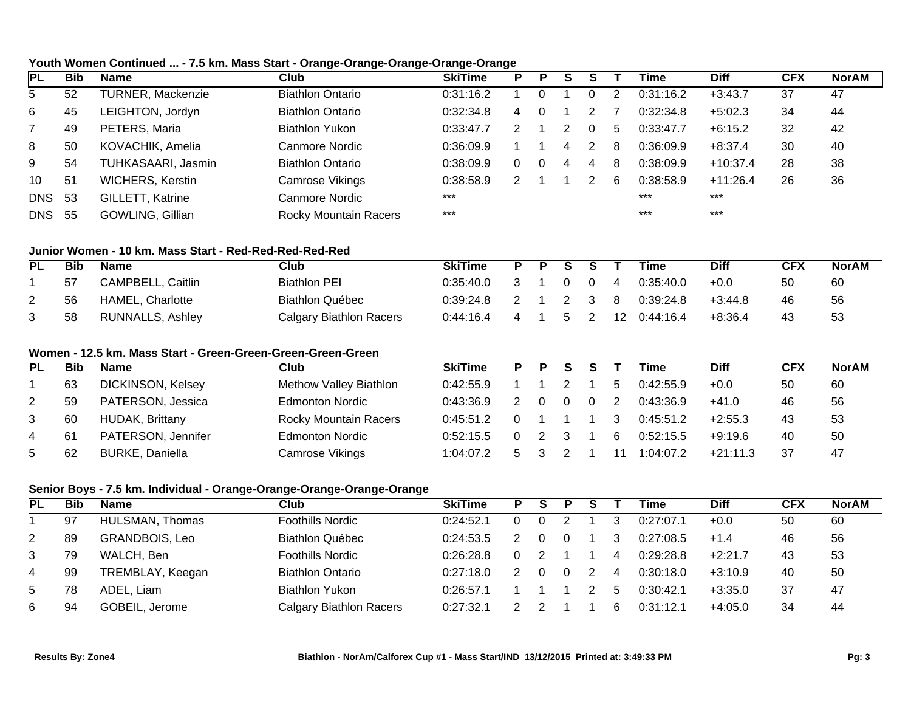#### **Youth Women Continued ... - 7.5 km. Mass Start - Orange-Orange-Orange-Orange-Orange**

| IPL           | <b>Bib</b> | <b>Name</b>             | Club                         | <b>SkiTime</b> |   | Р |   |   |    | Time      | <b>Diff</b> | <b>CFX</b> | <b>NorAM</b> |
|---------------|------------|-------------------------|------------------------------|----------------|---|---|---|---|----|-----------|-------------|------------|--------------|
| 5             | 52         | TURNER, Mackenzie       | <b>Biathlon Ontario</b>      | 0:31:16.2      |   |   |   |   | 2  | 0:31:16.2 | $+3:43.7$   | -37        | 47           |
| 6             | 45         | LEIGHTON, Jordyn        | <b>Biathlon Ontario</b>      | 0.32.34.8      | 4 |   |   | ◠ |    | 0:32:34.8 | $+5:02.3$   | 34         | 44           |
|               | 49         | PETERS, Maria           | Biathlon Yukon               | 0:33:47.7      |   |   |   |   | 5  | 0:33:47.7 | $+6:15.2$   | 32         | 42           |
| 8             | 50         | KOVACHIK, Amelia        | Canmore Nordic               | 0.36:09.9      |   |   | 4 | 2 | 8  | 0:36:09.9 | $+8:37.4$   | 30         | 40           |
| 9             | 54         | TUHKASAARI, Jasmin      | <b>Biathlon Ontario</b>      | 0.38.09.9      |   |   | 4 | 4 | -8 | 0:38:09.9 | $+10:37.4$  | 28         | 38           |
| 10            | 51         | <b>WICHERS, Kerstin</b> | Camrose Vikings              | 0:38:58.9      |   |   |   |   | 6  | 0:38:58.9 | $+11:26.4$  | 26         | 36           |
| <b>DNS</b>    | -53        | GILLETT, Katrine        | Canmore Nordic               | $***$          |   |   |   |   |    | $***$     | $***$       |            |              |
| <b>DNS 55</b> |            | <b>GOWLING, Gillian</b> | <b>Rocky Mountain Racers</b> | $***$          |   |   |   |   |    | $***$     | $***$       |            |              |

#### **Junior Women - 10 km. Mass Start - Red-Red-Red-Red-Red**

| PL | <b>Bib</b> | <b>Name</b>             | Club                           | <b>SkiTime</b> | P. | D. | S. |              |     | Time         | <b>Diff</b> | <b>CFX</b> | <b>NorAM</b> |
|----|------------|-------------------------|--------------------------------|----------------|----|----|----|--------------|-----|--------------|-------------|------------|--------------|
|    | 57         | CAMPBELL, Caitlin       | <b>Biathlon PEI</b>            | 0.35:40.0      |    |    |    |              | 4   | 0:35:40.0    | $+0.0$      | 50         | -60          |
| 2  | 56         | HAMEL, Charlotte        | Biathlon Québec                | 0:39:24.8      |    |    |    | $\mathbf{3}$ | - 8 | 0:39:24.8    | $+3:44.8$   | 46         | 56           |
| 3  | 58         | <b>RUNNALLS, Ashley</b> | <b>Calgary Biathlon Racers</b> | 0:44:16.4      | 4  |    |    |              |     | 12 0:44:16.4 | $+8:36.4$   | 43         | -53          |

# **Women - 12.5 km. Mass Start - Green-Green-Green-Green-Green**

| PL | Bib | <b>Name</b>            | Club                          | <b>SkiTime</b> | D. | <b>P</b> | S. |          |   | Time      | <b>Diff</b> | <b>CFX</b> | <b>NorAM</b> |
|----|-----|------------------------|-------------------------------|----------------|----|----------|----|----------|---|-----------|-------------|------------|--------------|
|    | 63  | DICKINSON, Kelsey      | <b>Methow Valley Biathlon</b> | 0.42:55.9      |    |          |    |          | 5 | 0:42:55.9 | $+0.0$      | 50         | 60           |
| 2  | 59  | PATERSON, Jessica      | <b>Edmonton Nordic</b>        | 0:43:36.9      |    |          |    | $\Omega$ |   | 0:43:36.9 | $+41.0$     | 46         | 56           |
| 3  | 60  | <b>HUDAK, Brittany</b> | <b>Rocky Mountain Racers</b>  | 0:45:51.2      |    |          |    |          |   | 0:45:51.2 | $+2:55.3$   | 43         | 53           |
| 4  | 61  | PATERSON, Jennifer     | <b>Edmonton Nordic</b>        | 0:52:15.5      |    |          |    |          | 6 | 0:52:15.5 | $+9:19.6$   | 40         | 50           |
| 5  | 62  | <b>BURKE, Daniella</b> | Camrose Vikings               | 1:04:07.2      |    |          |    |          |   | 1:04:07.2 | $+21:11.3$  | 37         | 47           |

# **Senior Boys - 7.5 km. Individual - Orange-Orange-Orange-Orange-Orange**

| PL | Bib | <b>Name</b>      | Club                           | <b>SkiTime</b> | P | S. | Р |                | Time      | <b>Diff</b> | <b>CFX</b> | <b>NorAM</b> |
|----|-----|------------------|--------------------------------|----------------|---|----|---|----------------|-----------|-------------|------------|--------------|
|    | 97  | HULSMAN, Thomas  | <b>Foothills Nordic</b>        | 0:24:52.1      |   |    |   | 3              | 0:27:07.1 | $+0.0$      | 50         | 60           |
| 2  | 89  | GRANDBOIS, Leo   | <b>Biathlon Québec</b>         | 0:24:53.5      |   |    |   | 3              | 0:27:08.5 | $+1.4$      | 46         | 56           |
| 3  | 79  | WALCH, Ben       | <b>Foothills Nordic</b>        | 0:26:28.8      |   |    |   | 4              | 0:29:28.8 | $+2:21.7$   | 43         | 53           |
| 4  | 99  | TREMBLAY, Keegan | <b>Biathlon Ontario</b>        | 0:27:18.0      |   |    |   | $\overline{4}$ | 0:30:18.0 | $+3:10.9$   | 40         | 50           |
| 5  | 78  | ADEL, Liam       | Biathlon Yukon                 | 0:26:57.1      |   |    |   | 5              | 0:30:42.1 | $+3:35.0$   | 37         | 47           |
| 6  | 94  | GOBEIL, Jerome   | <b>Calgary Biathlon Racers</b> | 0:27:32.1      |   |    |   | 6              | 0:31:12.1 | $+4:05.0$   | 34         | 44           |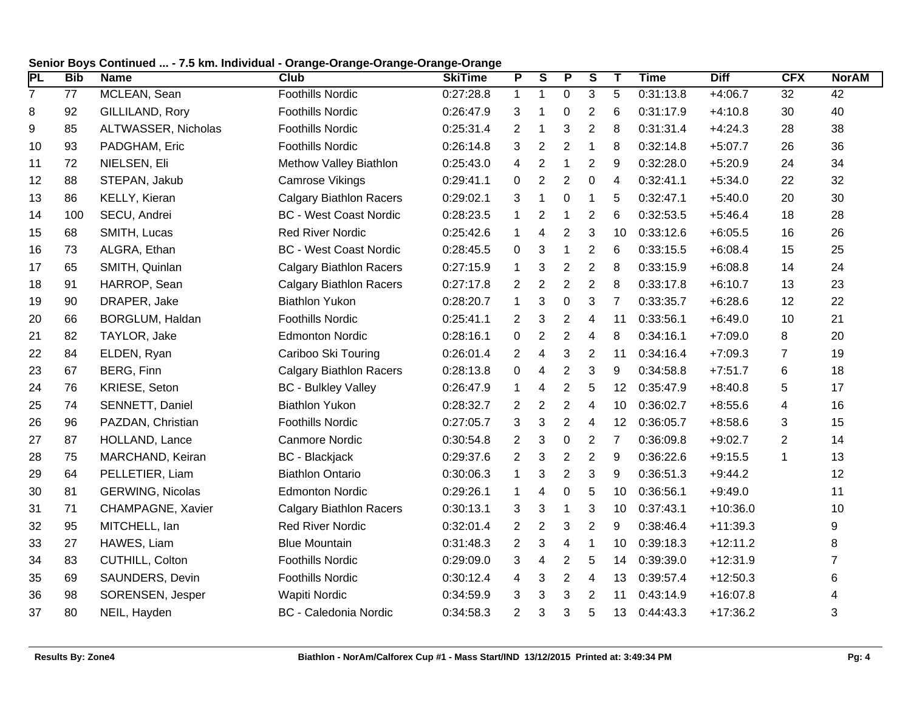| $\overline{\mathsf{PL}}$ | <b>Bib</b> | <b>Name</b>             | <b>Club</b>                    | <b>SkiTime</b> | $\overline{P}$ | $\overline{\mathsf{s}}$ | $\overline{\mathbf{P}}$  | $\overline{\mathbf{s}}$ | T               | <b>Time</b> | <b>Diff</b> | <b>CFX</b>     | <b>NorAM</b> |
|--------------------------|------------|-------------------------|--------------------------------|----------------|----------------|-------------------------|--------------------------|-------------------------|-----------------|-------------|-------------|----------------|--------------|
| $\overline{7}$           | 77         | MCLEAN, Sean            | <b>Foothills Nordic</b>        | 0:27:28.8      | $\mathbf 1$    | $\mathbf{1}$            | $\mathbf 0$              | 3                       | 5               | 0:31:13.8   | $+4:06.7$   | 32             | 42           |
| 8                        | 92         | GILLILAND, Rory         | <b>Foothills Nordic</b>        | 0:26:47.9      | 3              | $\mathbf{1}$            | 0                        | $\overline{\mathbf{c}}$ | 6               | 0:31:17.9   | $+4:10.8$   | 30             | 40           |
| 9                        | 85         | ALTWASSER, Nicholas     | <b>Foothills Nordic</b>        | 0:25:31.4      | $\overline{2}$ | $\mathbf{1}$            | 3                        | 2                       | 8               | 0:31:31.4   | $+4:24.3$   | 28             | 38           |
| 10                       | 93         | PADGHAM, Eric           | <b>Foothills Nordic</b>        | 0:26:14.8      | 3              | $\overline{2}$          | $\overline{2}$           | 1                       | 8               | 0:32:14.8   | $+5:07.7$   | 26             | 36           |
| 11                       | 72         | NIELSEN, Eli            | Methow Valley Biathlon         | 0:25:43.0      | 4              | $\overline{2}$          | $\mathbf{1}$             | $\overline{2}$          | 9               | 0:32:28.0   | $+5:20.9$   | 24             | 34           |
| 12                       | 88         | STEPAN, Jakub           | <b>Camrose Vikings</b>         | 0:29:41.1      | 0              | $\mathbf{2}$            | $\overline{2}$           | 0                       | 4               | 0:32:41.1   | $+5:34.0$   | 22             | 32           |
| 13                       | 86         | KELLY, Kieran           | <b>Calgary Biathlon Racers</b> | 0:29:02.1      | 3              | $\mathbf{1}$            | $\pmb{0}$                | 1                       | 5               | 0:32:47.1   | $+5:40.0$   | 20             | 30           |
| 14                       | 100        | SECU, Andrei            | <b>BC</b> - West Coast Nordic  | 0:28:23.5      | $\mathbf 1$    | $\overline{2}$          | $\mathbf 1$              | $\overline{2}$          | 6               | 0:32:53.5   | $+5:46.4$   | 18             | 28           |
| 15                       | 68         | SMITH, Lucas            | <b>Red River Nordic</b>        | 0:25:42.6      | $\mathbf{1}$   | 4                       | $\overline{2}$           | 3                       | 10              | 0:33:12.6   | $+6:05.5$   | 16             | 26           |
| 16                       | 73         | ALGRA, Ethan            | <b>BC</b> - West Coast Nordic  | 0:28:45.5      | $\mathbf 0$    | 3                       | $\mathbf{1}$             | $\overline{2}$          | 6               | 0:33:15.5   | $+6:08.4$   | 15             | 25           |
| 17                       | 65         | SMITH, Quinlan          | <b>Calgary Biathlon Racers</b> | 0:27:15.9      | $\mathbf{1}$   | 3                       | $\overline{2}$           | $\overline{2}$          | 8               | 0:33:15.9   | $+6:08.8$   | 14             | 24           |
| 18                       | 91         | HARROP, Sean            | <b>Calgary Biathlon Racers</b> | 0:27:17.8      | $\overline{2}$ | $\overline{2}$          | $\overline{2}$           | $\overline{2}$          | 8               | 0:33:17.8   | $+6:10.7$   | 13             | 23           |
| 19                       | 90         | DRAPER, Jake            | <b>Biathlon Yukon</b>          | 0:28:20.7      | $\mathbf{1}$   | 3                       | $\pmb{0}$                | 3                       | 7               | 0:33:35.7   | $+6:28.6$   | 12             | 22           |
| 20                       | 66         | BORGLUM, Haldan         | <b>Foothills Nordic</b>        | 0:25:41.1      | $\mathbf{2}$   | 3                       | $\overline{2}$           | $\overline{\mathbf{4}}$ | 11              | 0:33:56.1   | $+6:49.0$   | 10             | 21           |
| 21                       | 82         | TAYLOR, Jake            | <b>Edmonton Nordic</b>         | 0:28:16.1      | 0              | $\overline{2}$          | $\overline{2}$           | 4                       | 8               | 0:34:16.1   | $+7:09.0$   | 8              | 20           |
| 22                       | 84         | ELDEN, Ryan             | Cariboo Ski Touring            | 0:26:01.4      | $\overline{2}$ | $\overline{\mathbf{4}}$ | 3                        | $\overline{2}$          | 11              | 0:34:16.4   | $+7:09.3$   | $\overline{7}$ | 19           |
| 23                       | 67         | BERG, Finn              | <b>Calgary Biathlon Racers</b> | 0:28:13.8      | 0              | 4                       | $\overline{2}$           | 3                       | 9               | 0:34:58.8   | $+7:51.7$   | 6              | 18           |
| 24                       | 76         | KRIESE, Seton           | <b>BC - Bulkley Valley</b>     | 0:26:47.9      | $\mathbf{1}$   | 4                       | $\overline{2}$           | 5                       | 12 <sup>2</sup> | 0:35:47.9   | $+8:40.8$   | 5              | 17           |
| 25                       | 74         | SENNETT, Daniel         | <b>Biathlon Yukon</b>          | 0:28:32.7      | $\mathbf{2}$   | $\mathbf{2}$            | $\sqrt{2}$               | $\overline{4}$          | 10              | 0:36:02.7   | $+8:55.6$   | 4              | 16           |
| 26                       | 96         | PAZDAN, Christian       | <b>Foothills Nordic</b>        | 0:27:05.7      | 3              | 3                       | $\overline{2}$           | 4                       | 12              | 0:36:05.7   | $+8:58.6$   | 3              | 15           |
| 27                       | 87         | HOLLAND, Lance          | <b>Canmore Nordic</b>          | 0:30:54.8      | $\overline{2}$ | 3                       | $\pmb{0}$                | $\overline{2}$          | $\overline{7}$  | 0:36:09.8   | $+9:02.7$   | $\overline{2}$ | 14           |
| 28                       | 75         | MARCHAND, Keiran        | <b>BC</b> - Blackjack          | 0:29:37.6      | $\overline{2}$ | 3                       | $\overline{2}$           | $\overline{2}$          | 9               | 0:36:22.6   | $+9:15.5$   | $\mathbf 1$    | 13           |
| 29                       | 64         | PELLETIER, Liam         | <b>Biathlon Ontario</b>        | 0:30:06.3      | $\mathbf{1}$   | 3                       | $\overline{2}$           | 3                       | 9               | 0:36:51.3   | $+9:44.2$   |                | 12           |
| 30                       | 81         | <b>GERWING, Nicolas</b> | <b>Edmonton Nordic</b>         | 0:29:26.1      | $\mathbf{1}$   | 4                       | $\pmb{0}$                | 5                       | 10              | 0:36:56.1   | $+9:49.0$   |                | 11           |
| 31                       | 71         | CHAMPAGNE, Xavier       | <b>Calgary Biathlon Racers</b> | 0:30:13.1      | 3              | 3                       | $\mathbf{1}$             | 3                       | 10              | 0:37:43.1   | $+10:36.0$  |                | 10           |
| 32                       | 95         | MITCHELL, Ian           | <b>Red River Nordic</b>        | 0:32:01.4      | $\overline{2}$ | $\overline{c}$          | $\sqrt{3}$               | $\sqrt{2}$              | 9               | 0:38:46.4   | $+11:39.3$  |                | 9            |
| 33                       | 27         | HAWES, Liam             | <b>Blue Mountain</b>           | 0:31:48.3      | $\overline{2}$ | 3                       | $\overline{\mathcal{A}}$ | 1                       | 10              | 0:39:18.3   | $+12:11.2$  |                | 8            |
| 34                       | 83         | CUTHILL, Colton         | <b>Foothills Nordic</b>        | 0:29:09.0      | 3              | 4                       | 2                        | 5                       | 14              | 0:39:39.0   | $+12:31.9$  |                | 7            |
| 35                       | 69         | SAUNDERS, Devin         | <b>Foothills Nordic</b>        | 0:30:12.4      | 4              | 3                       | $\sqrt{2}$               | 4                       | 13              | 0:39:57.4   | $+12:50.3$  |                | 6            |
| 36                       | 98         | SORENSEN, Jesper        | <b>Wapiti Nordic</b>           | 0:34:59.9      | 3              | 3                       | 3                        | $\overline{2}$          | 11              | 0:43:14.9   | $+16:07.8$  |                | 4            |
| 37                       | 80         | NEIL, Hayden            | <b>BC</b> - Caledonia Nordic   | 0:34:58.3      | $\overline{2}$ | 3                       | 3                        | 5                       | 13              | 0:44:43.3   | $+17:36.2$  |                | 3            |

# **Senior Boys Continued ... - 7.5 km. Individual - Orange-Orange-Orange-Orange-Orange**